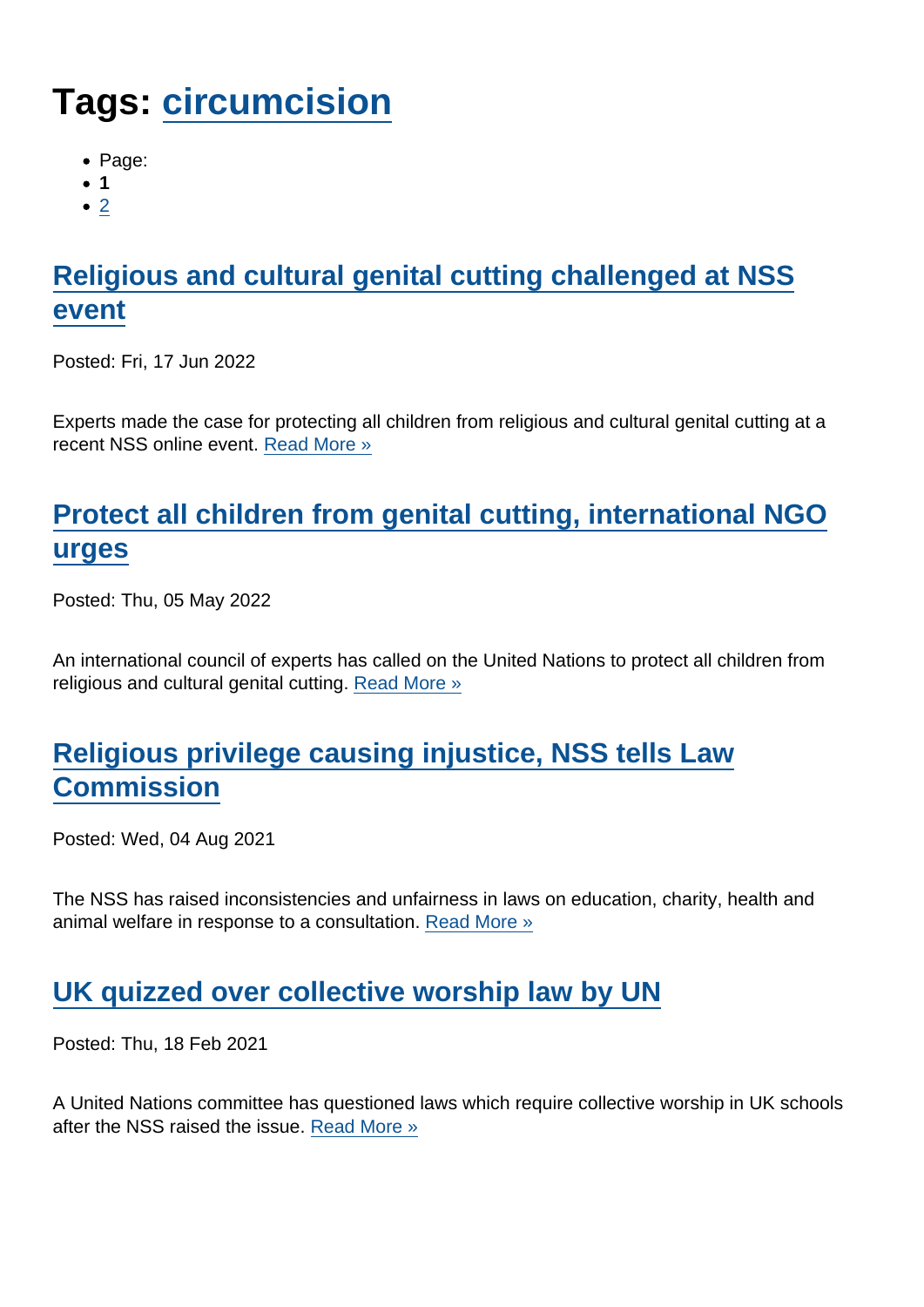# Tags: [circumcision](https://www.secularism.org.uk/news/tags/circumcision)

- Page:
- 1
- $\bullet$  [2](/mnt/web-data/www/cp-nss/news/tags/circumcision)

# [Religious and cultural genital cutting challenged at NSS](https://www.secularism.org.uk/news/2022/06/religious-and-cultural-genital-cutting-challenged-at-nss-event) [event](https://www.secularism.org.uk/news/2022/06/religious-and-cultural-genital-cutting-challenged-at-nss-event)

Posted: Fri, 17 Jun 2022

Experts made the case for protecting all children from religious and cultural genital cutting at a recent NSS online event. [Read More »](https://www.secularism.org.uk/news/2022/06/religious-and-cultural-genital-cutting-challenged-at-nss-event)

# [Protect all children from genital cutting, international NGO](https://www.secularism.org.uk/news/2022/05/protect-all-children-from-genital-cutting-international-ngo-urges) [urges](https://www.secularism.org.uk/news/2022/05/protect-all-children-from-genital-cutting-international-ngo-urges)

Posted: Thu, 05 May 2022

An international council of experts has called on the United Nations to protect all children from religious and cultural genital cutting. [Read More »](https://www.secularism.org.uk/news/2022/05/protect-all-children-from-genital-cutting-international-ngo-urges)

## [Religious privilege causing injustice, NSS tells Law](https://www.secularism.org.uk/news/2021/08/religious-privilege-causing-injustice-nss-tells-law-commission) **[Commission](https://www.secularism.org.uk/news/2021/08/religious-privilege-causing-injustice-nss-tells-law-commission)**

Posted: Wed, 04 Aug 2021

The NSS has raised inconsistencies and unfairness in laws on education, charity, health and animal welfare in response to a consultation. [Read More »](https://www.secularism.org.uk/news/2021/08/religious-privilege-causing-injustice-nss-tells-law-commission)

## [UK quizzed over collective worship law by UN](https://www.secularism.org.uk/news/2021/02/uk-quizzed-over-collective-worship-law-by-un)

Posted: Thu, 18 Feb 2021

A United Nations committee has questioned laws which require collective worship in UK schools after the NSS raised the issue. [Read More »](https://www.secularism.org.uk/news/2021/02/uk-quizzed-over-collective-worship-law-by-un)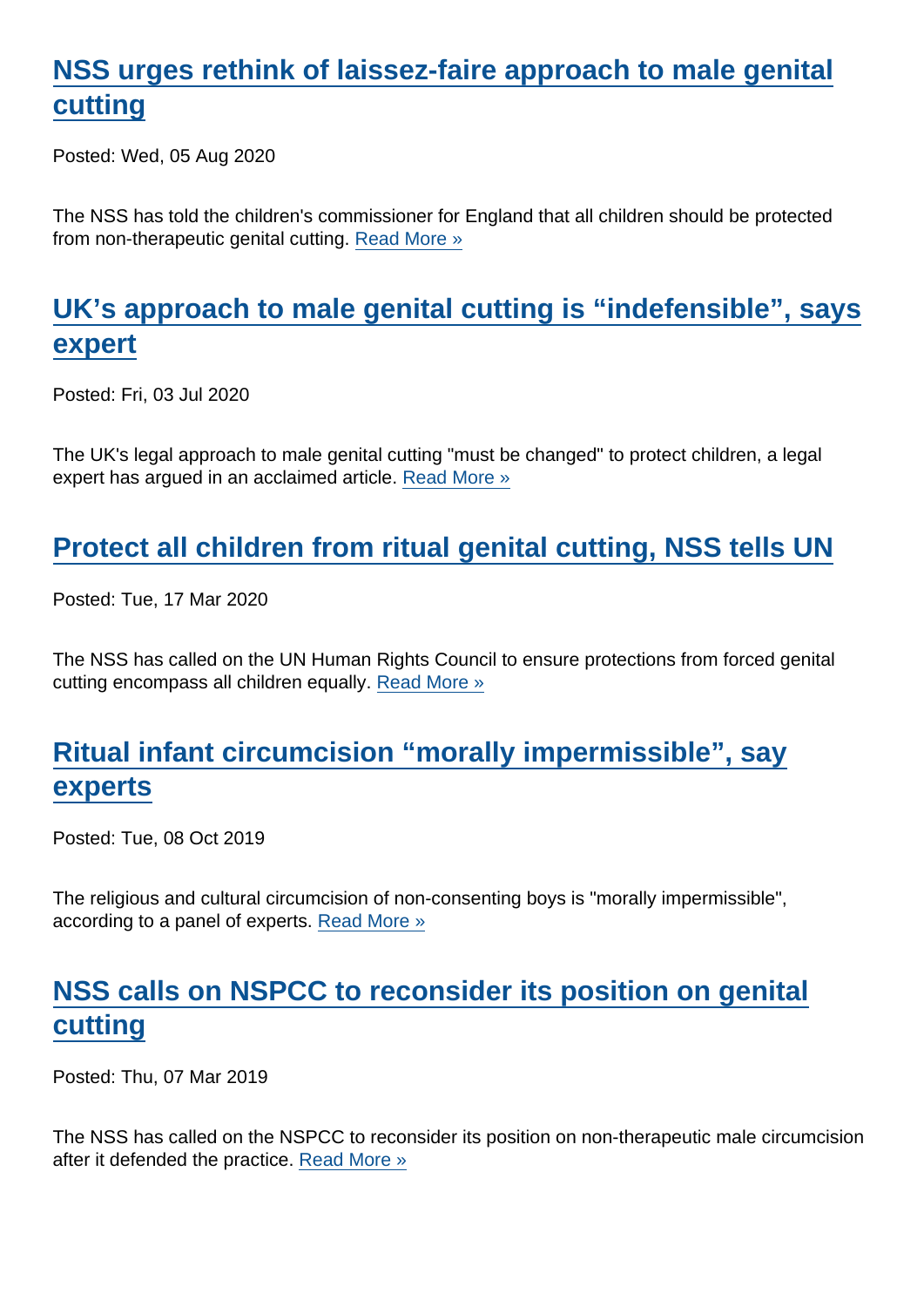## [NSS urges rethink of laissez-faire approach to male genital](https://www.secularism.org.uk/news/2020/08/nss-urges-rethink-of-laissez-faire-approach-to-male-genital-cutting) [cutting](https://www.secularism.org.uk/news/2020/08/nss-urges-rethink-of-laissez-faire-approach-to-male-genital-cutting)

Posted: Wed, 05 Aug 2020

The NSS has told the children's commissioner for England that all children should be protected from non-therapeutic genital cutting. [Read More »](https://www.secularism.org.uk/news/2020/08/nss-urges-rethink-of-laissez-faire-approach-to-male-genital-cutting)

#### [UK's approach to male genital cutting is "indefensible", says](https://www.secularism.org.uk/news/2020/07/uks-approach-to-male-genital-cutting-is-indefensible-says-expert) [expert](https://www.secularism.org.uk/news/2020/07/uks-approach-to-male-genital-cutting-is-indefensible-says-expert)

Posted: Fri, 03 Jul 2020

The UK's legal approach to male genital cutting "must be changed" to protect children, a legal expert has argued in an acclaimed article. [Read More »](https://www.secularism.org.uk/news/2020/07/uks-approach-to-male-genital-cutting-is-indefensible-says-expert)

#### [Protect all children from ritual genital cutting, NSS tells UN](https://www.secularism.org.uk/news/2020/03/protect-all-children-from-ritual-genital-cutting-nss-tells-un)

Posted: Tue, 17 Mar 2020

The NSS has called on the UN Human Rights Council to ensure protections from forced genital cutting encompass all children equally. [Read More »](https://www.secularism.org.uk/news/2020/03/protect-all-children-from-ritual-genital-cutting-nss-tells-un)

#### [Ritual infant circumcision "morally impermissible", say](https://www.secularism.org.uk/news/2019/10/ritual-infant-circumcision-morally-impermissible-say-experts) [experts](https://www.secularism.org.uk/news/2019/10/ritual-infant-circumcision-morally-impermissible-say-experts)

Posted: Tue, 08 Oct 2019

The religious and cultural circumcision of non-consenting boys is "morally impermissible", according to a panel of experts. [Read More »](https://www.secularism.org.uk/news/2019/10/ritual-infant-circumcision-morally-impermissible-say-experts)

#### [NSS calls on NSPCC to reconsider its position on genital](https://www.secularism.org.uk/news/2019/03/nss-calls-on-nspcc-to-reconsider-its-position-on-genital-cutting) [cutting](https://www.secularism.org.uk/news/2019/03/nss-calls-on-nspcc-to-reconsider-its-position-on-genital-cutting)

Posted: Thu, 07 Mar 2019

The NSS has called on the NSPCC to reconsider its position on non-therapeutic male circumcision after it defended the practice. [Read More »](https://www.secularism.org.uk/news/2019/03/nss-calls-on-nspcc-to-reconsider-its-position-on-genital-cutting)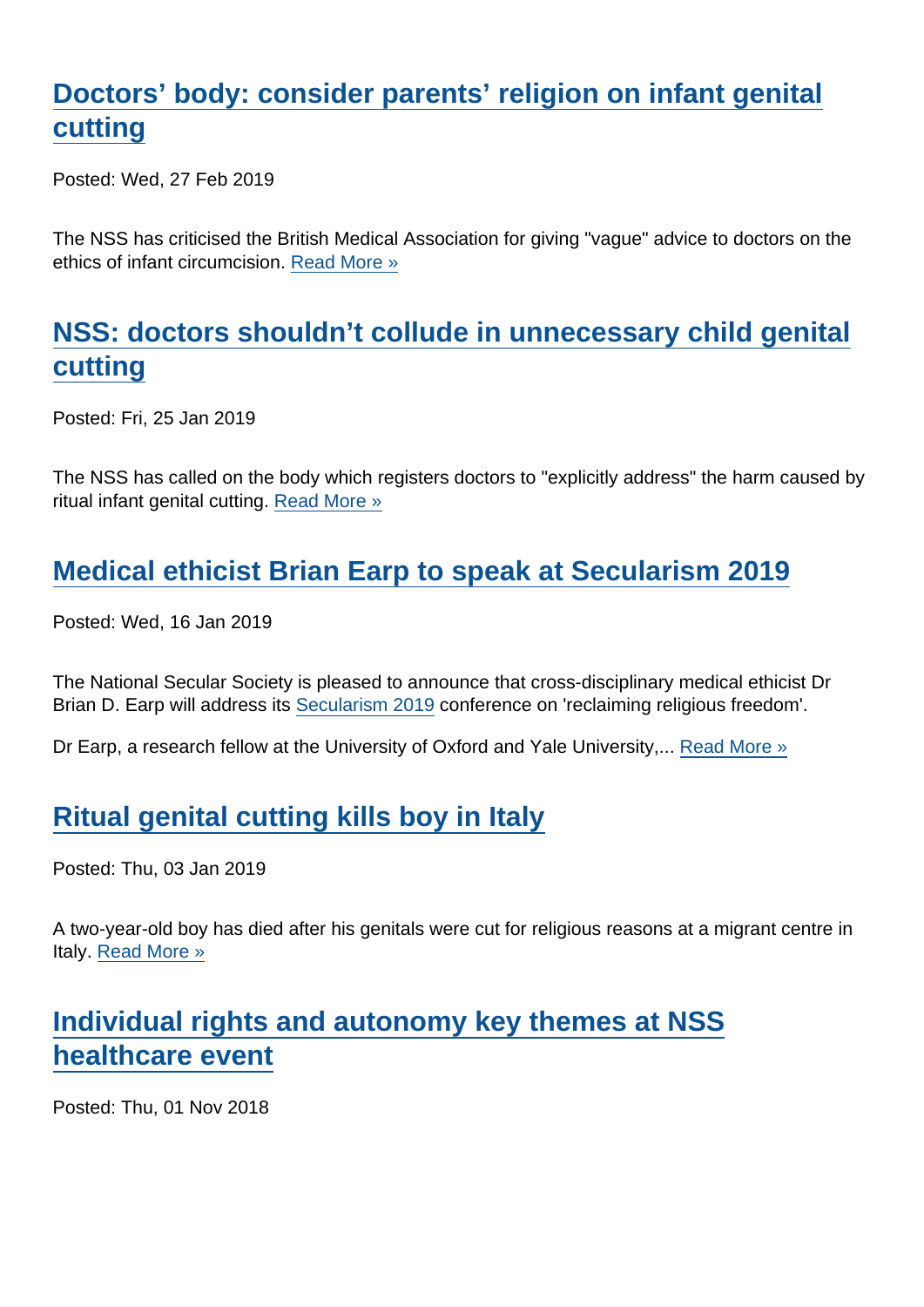## [Doctors' body: consider parents' religion on infant genital](https://www.secularism.org.uk/news/2019/02/doctors-body-consider-parents-religion-on-infant-genital-cutting) [cutting](https://www.secularism.org.uk/news/2019/02/doctors-body-consider-parents-religion-on-infant-genital-cutting)

Posted: Wed, 27 Feb 2019

The NSS has criticised the British Medical Association for giving "vague" advice to doctors on the ethics of infant circumcision. [Read More »](https://www.secularism.org.uk/news/2019/02/doctors-body-consider-parents-religion-on-infant-genital-cutting)

## [NSS: doctors shouldn't collude in unnecessary child genital](https://www.secularism.org.uk/news/2019/01/nss-doctors-shouldnt-collude-in-unnecessary-child-genital-cutting) [cutting](https://www.secularism.org.uk/news/2019/01/nss-doctors-shouldnt-collude-in-unnecessary-child-genital-cutting)

Posted: Fri, 25 Jan 2019

The NSS has called on the body which registers doctors to "explicitly address" the harm caused by ritual infant genital cutting. [Read More »](https://www.secularism.org.uk/news/2019/01/nss-doctors-shouldnt-collude-in-unnecessary-child-genital-cutting)

# [Medical ethicist Brian Earp to speak at Secularism 2019](https://www.secularism.org.uk/news/2019/01/medical-ethicist-brian-earp-to-speak-at-secularism-2019)

Posted: Wed, 16 Jan 2019

The National Secular Society is pleased to announce that cross-disciplinary medical ethicist Dr Brian D. Earp will address its [Secularism 2019](https://www.secularism.org.uk/secularism-2019.html) conference on 'reclaiming religious freedom'.

Dr Earp, a research fellow at the University of Oxford and Yale University,... [Read More »](https://www.secularism.org.uk/news/2019/01/medical-ethicist-brian-earp-to-speak-at-secularism-2019)

#### [Ritual genital cutting kills boy in Italy](https://www.secularism.org.uk/news/2019/01/ritual-genital-cutting-kills-boy-in-italy)

Posted: Thu, 03 Jan 2019

A two-year-old boy has died after his genitals were cut for religious reasons at a migrant centre in Italy. [Read More »](https://www.secularism.org.uk/news/2019/01/ritual-genital-cutting-kills-boy-in-italy)

#### [Individual rights and autonomy key themes at NSS](https://www.secularism.org.uk/news/2018/11/individual-rights-and-autonomy-key-themes-at-nss-healthcare-event) [healthcare event](https://www.secularism.org.uk/news/2018/11/individual-rights-and-autonomy-key-themes-at-nss-healthcare-event)

Posted: Thu, 01 Nov 2018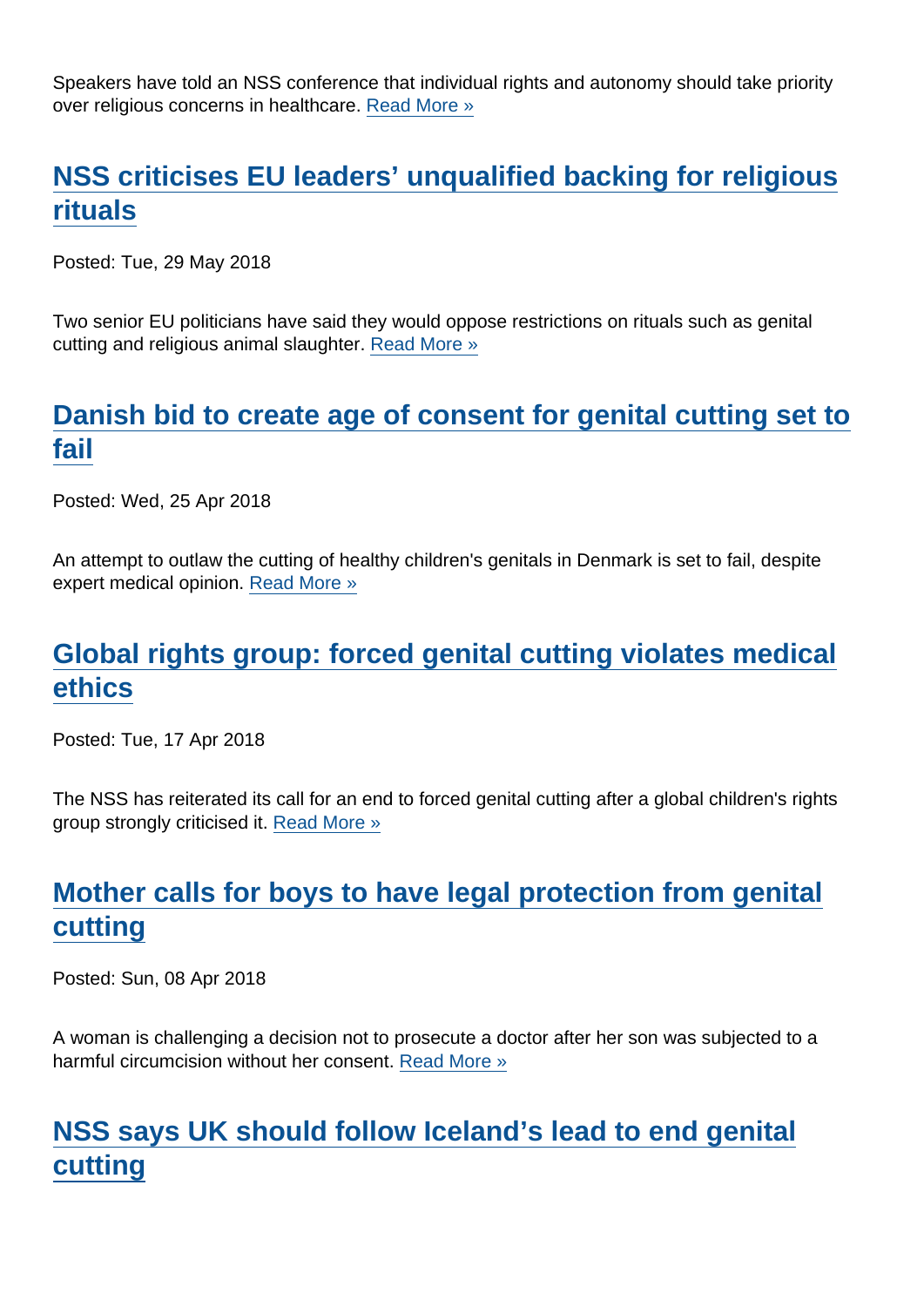Speakers have told an NSS conference that individual rights and autonomy should take priority over religious concerns in healthcare. [Read More »](https://www.secularism.org.uk/news/2018/11/individual-rights-and-autonomy-key-themes-at-nss-healthcare-event)

## [NSS criticises EU leaders' unqualified backing for religious](https://www.secularism.org.uk/news/2018/05/nss-criticises-eu-leaders-unqualified-backing-for-religious-rituals) [rituals](https://www.secularism.org.uk/news/2018/05/nss-criticises-eu-leaders-unqualified-backing-for-religious-rituals)

Posted: Tue, 29 May 2018

Two senior EU politicians have said they would oppose restrictions on rituals such as genital cutting and religious animal slaughter. [Read More »](https://www.secularism.org.uk/news/2018/05/nss-criticises-eu-leaders-unqualified-backing-for-religious-rituals)

#### [Danish bid to create age of consent for genital cutting set to](https://www.secularism.org.uk/news/2018/04/danish-bid-to-create-age-of-consent-for-genital-cutting-set-to-fail) [fail](https://www.secularism.org.uk/news/2018/04/danish-bid-to-create-age-of-consent-for-genital-cutting-set-to-fail)

Posted: Wed, 25 Apr 2018

An attempt to outlaw the cutting of healthy children's genitals in Denmark is set to fail, despite expert medical opinion. [Read More »](https://www.secularism.org.uk/news/2018/04/danish-bid-to-create-age-of-consent-for-genital-cutting-set-to-fail)

#### [Global rights group: forced genital cutting violates medical](https://www.secularism.org.uk/news/2018/04/global-rights-group-forced-genital-cutting-violates-medical-ethics) [ethics](https://www.secularism.org.uk/news/2018/04/global-rights-group-forced-genital-cutting-violates-medical-ethics)

Posted: Tue, 17 Apr 2018

The NSS has reiterated its call for an end to forced genital cutting after a global children's rights group strongly criticised it. [Read More »](https://www.secularism.org.uk/news/2018/04/global-rights-group-forced-genital-cutting-violates-medical-ethics)

# [Mother calls for boys to have legal protection from genital](https://www.secularism.org.uk/news/2018/04/mother-calls-for-boys-to-have-legal-protection-from-genital-cutting) [cutting](https://www.secularism.org.uk/news/2018/04/mother-calls-for-boys-to-have-legal-protection-from-genital-cutting)

Posted: Sun, 08 Apr 2018

A woman is challenging a decision not to prosecute a doctor after her son was subjected to a harmful circumcision without her consent. [Read More »](https://www.secularism.org.uk/news/2018/04/mother-calls-for-boys-to-have-legal-protection-from-genital-cutting)

#### [NSS says UK should follow Iceland's lead to end genital](https://www.secularism.org.uk/news/2018/02/nss-says-uk-should-follow-icelands-lead-to-end-genital-cutting) [cutting](https://www.secularism.org.uk/news/2018/02/nss-says-uk-should-follow-icelands-lead-to-end-genital-cutting)